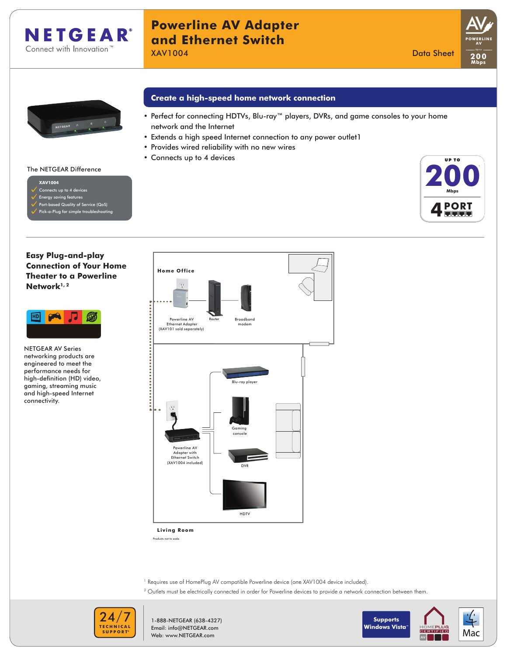

# **Powerline AV Adapter and Ethernet Switch XAV1004** Data Sheet Data Sheet Data Sheet Data Sheet Data Sheet Data Sheet Data Sheet Data Sheet Data Sheet Data Sheet





# **Create a high-speed home network connection**

- Perfect for connecting HDTVs, Blu-ray™ players, DVRs, and game consoles to your home network and the Internet
- Extends a high speed Internet connection to any power outlet1
- • Provides wired reliability with no new wires
- • Connects up to 4 devices



### Connects up to 4 devices Energy saving features

The NETGEAR Difference

**XAV1004**

- Port-based Quality of Service (QoS)
- Pick-a-Plug for simple troubleshooting

# **Easy Plug-and-play Connection of Your Home Theater to a Powerline Network1, 2**



**NETGEAR AV Series** networking products are engineered to meet the performance needs for high-definition (HD) video, gaming, streaming music and high-speed Internet connectivity.



**Living Room**

Products not to scale

- <sup>1</sup> Requires use of HomePlug AV compatible Powerline device (one XAV1004 device included).
- <sup>2</sup> Outlets must be electrically connected in order for Powerline devices to provide a network connection between them.



1-888-NETGEAR (638-4327) Email: info@NETGEAR.com Web: www.NETGEAR.com